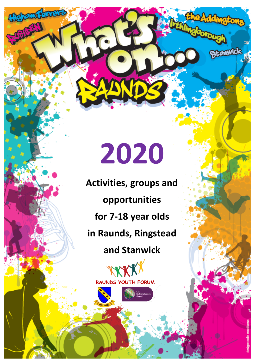## **2020**

mver

**Activities, groups and opportunities for 7-18 year olds in Raunds, Ringstead and Stanwick**



**Blanwick**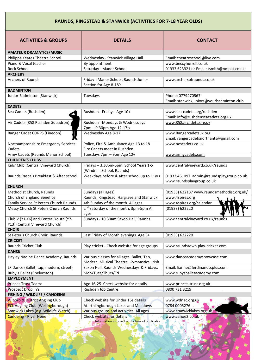## **RAUNDS, RINGSTEAD & STANWICK (ACTIVITIES FOR 7-18 YEAR OLDS)**

| <b>ACTIVITIES &amp; GROUPS</b>                      | <b>DETAILS</b>                                                       | <b>CONTACT</b>                                                        |
|-----------------------------------------------------|----------------------------------------------------------------------|-----------------------------------------------------------------------|
| <b>AMATEUR DRAMATICS/MUSIC</b>                      |                                                                      |                                                                       |
| Philippa Yeates Theatre School                      | Wednesday - Stanwick Village Hall                                    | Email: theatreschool@live.com                                         |
| Piano & Vocal teacher                               | By appointment                                                       | www.beccyhurrell.co.uk                                                |
| Rock School                                         | Saturday - Manor School                                              | 01933 623921 or Email: tsmith@nmpat.co.uk                             |
| <b>ARCHERY</b>                                      |                                                                      |                                                                       |
| <b>Archers of Raunds</b>                            | Friday - Manor School, Raunds Junior<br>Section for Age 8-18's       | www.archersofraunds.co.uk                                             |
| <b>BADMINTON</b>                                    |                                                                      |                                                                       |
| Junior Badminton (Stanwick)                         | Tuesdays                                                             | Phone: 0779470567<br>Email: stanwickjuniors@yourbadminton.club        |
| <b>CADETS</b>                                       |                                                                      |                                                                       |
| Sea Cadets (Rushden)                                | Rushden - Fridays. Age 10+                                           | www.sea-cadets.org/rushden<br>Email: info@rushdenseacadets.org.uk     |
| Air Cadets (858 Rushden Squadron)                   | Rushden - Mondays & Wednesdays<br>7pm - 9.30pm Age 12-17's           | www.858aircadets.org.uk                                               |
| Ranger Cadet CORPS (Finedon)                        | Wednesday Age 8-17                                                   | www.Rangercadetsuk.org                                                |
|                                                     |                                                                      | Email: rangercadetsnorthants@gmail.com                                |
| Northamptonshire Emergency Services<br>Cadets       | Police, Fire & Ambulance Age 13 to 18<br>Fire Cadets meet in Rushden | www.nescadets.co.uk                                                   |
| Army Cadets (Raunds Manor School)                   | Tuesdays 7pm - 9pm Age 12+                                           | www.armycadets.com                                                    |
| <b>CHILDREN'S CLUBS</b>                             |                                                                      |                                                                       |
| Kids' Club (Central Vineyard Church)                | Fridays - 3.30pm-5pm. School Years 1-5<br>(Windmill School, Raunds)  | www.centralvineyard.co.uk/raunds                                      |
| Raunds Rascals Breakfast & After school             | Weekdays before & after school up to 11yrs                           | 01933 461097 admin@raundsplaygroup.co.uk<br>www.raundsplaygroup.co.uk |
| <b>CHURCH</b>                                       |                                                                      |                                                                       |
| Methodist Church, Raunds                            | Sundays (all ages)                                                   | (01933) 622137 www.raundsmethodist.org.uk/                            |
| Church of England Benefice                          | Raunds, Ringstead, Hargrave and Stanwick                             | www.4spires.org                                                       |
| Family Service St Peters Church Raunds              | 4th Sunday of the month. All ages.                                   | www.4spires.org/calendar                                              |
| Messy Church St Peters Church Raunds                | 2 <sup>nd</sup> Saturday of the month. 3pm-5pm All<br>ages           | (01933) 622220                                                        |
| Club V (Y1-Y6) and Central Youth (Y7-               | Sundays - 10.30am Saxon Hall, Raunds                                 | www.centralvineyard.co.uk/raunds                                      |
| Y13) (Central Vineyard Church)                      |                                                                      |                                                                       |
| <b>CHOIR</b>                                        |                                                                      |                                                                       |
| St Peter's Church Choir, Raunds                     | Last Friday of Month evenings. Age 8+                                | (01933) 622220                                                        |
| <b>CRICKET</b>                                      |                                                                      |                                                                       |
| Raunds Cricket Club                                 | Play cricket - Check website for age groups                          | www.raundstown.play-cricket.com                                       |
| <b>DANCE</b><br>Hayley Nadine Dance Academy, Raunds | Various classes for all ages. Ballet, Tap,                           | www.danceacademyshowcase.com                                          |
|                                                     | Modern, Musical Theatre, Gymnastics, Irish                           |                                                                       |
| LF Dance (Ballet, tap, modern, street)              | Saxon Hall, Raunds Wednesdays & Fridays.                             | Email: lianne@ferdinando.plus.com                                     |
| Ruby's Ballet (Chelveston)                          | Mon/Tues/Thurs/Fri                                                   | www.rubysballetacademy.com                                            |
| <b>EMPLOYMENT</b>                                   |                                                                      |                                                                       |
| <b>Princes Trust Teams</b>                          | Age 16-25. Check website for details                                 | www.princes-trust.org.uk                                              |
| Prospect Drop In's<br>FISHING / WILDLIFE / CANOEING | Rushden Job Centre                                                   | 0800 731 3219                                                         |
| W'boro & District Angling Club                      | Check website for Under 16s details                                  | www.wdnac.org.uk                                                      |
| <b>ECL Angling Club (Wellingborough)</b>            | At Irthlingborough Lakes and Meadows                                 | 0784 0005276                                                          |
| Stanwick Lakes (e.g. Wildlife Watch)                | Various groups and activities. All ages                              | www.stanwicklakes.org.uk                                              |
| <b>Canoeing - River Nene</b>                        | <b>Check website for details</b>                                     | www.canoe2.co.uk                                                      |
|                                                     | Information is correct at the time of publication                    |                                                                       |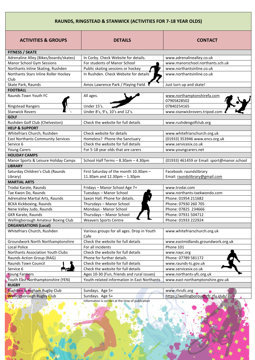## **RAUNDS, RINGSTEAD & STANWICK (ACTIVITIES FOR 7-18 YEAR OLDS)**

| <b>ACTIVITIES &amp; GROUPS</b>               | <b>DETAILS</b>                                     | <b>CONTACT</b>                              |
|----------------------------------------------|----------------------------------------------------|---------------------------------------------|
| <b>FITNESS / SKATE</b>                       |                                                    |                                             |
| Adrenaline Alley (Bikes/boards/skates)       | In Corby. Check Website for details.               | www.adrenalinealley.co.uk                   |
| Manor School Gym Sessions                    | For students of Manor School                       | www.manorschool.northants.sch.uk            |
| Northants Inline Skating, Rushden            | Public skating sessions or hockey                  | www.northantsinline.co.uk                   |
| Northants Stars Inline Roller Hockey<br>Club | In Rushden. Check Website for details              | www.northantsinline.co.uk                   |
| Skate Park, Raunds                           | Amos Lawrence Park / Playing Field                 | Just turn up and skate!                     |
| <b>FOOTBALL</b>                              |                                                    |                                             |
| Raunds Town Youth FC                         | All ages.                                          | www.northamptonshirefa.com<br>07905828502   |
| <b>Ringstead Rangers</b>                     | Under 15's.                                        | 07840254165                                 |
| <b>Stanwick Rovers</b>                       | Under 8's, 9's, 10's and 12's.                     | www.stanwickrovers.tripod.com               |
| <b>GOLF</b>                                  |                                                    |                                             |
| Rushden Golf Club (Chelveston)               | Check the website for full details                 | www.rushdengolfclub.org                     |
| <b>HELP &amp; SUPPORT</b>                    |                                                    |                                             |
| Whitefriars Church, Rushden                  | Check website for details                          | www.whitefriarschurch.org.uk                |
| <b>East Northants Community Services</b>     | Homeless? Phone the Sanctuary                      | (01933) 353946 www.encs.org.uk              |
| Service 6                                    | Check the website for full details                 | www.servicesix.co.uk                        |
| <b>Young Carers</b>                          | For 5-18 year olds that are carers                 | www.youngcarers.net                         |
| <b>HOLIDAY CAMPS</b>                         |                                                    |                                             |
| Manor Sports & Leisure Holiday Camps         | School Half Terms - 8.30am - 4.30pm                | (01933) 461459 or Email: sport@manor.school |
| <b>LIBRARY</b>                               |                                                    |                                             |
| Saturday Children's Club (Raunds             | First Saturday of the month 10.30am -              | Facebook: raundslibrary                     |
| Library)                                     | 11.30am and 12.30pm - 1.30pm                       | Email: raundslibrary@gmail.com              |
| <b>MARTIAL ARTS</b>                          |                                                    |                                             |
| Trodai Karate, Raunds                        | Fridays - Manor School Age 7+                      | www.trodai.com                              |
| Tae Kwon Do, Raunds                          | Tuesdays - Manor School                            | www.northants-taekwondo.com                 |
| Adrenaline Martial Arts, Raunds              | Saxon Hall. Phone for details.                     | Phone: 01954 211682                         |
| <b>BCKA Kickboxing, Raunds</b>               | Thursdays - Manor School                           | Phone: 07930 260 705                        |
| Nene Valley Judo, Raunds                     | Mondays - Manor School                             | Phone: 07825 234666                         |
| GKR Karate, Raunds                           | Thursdays - Manor School                           | Phone: 07931 504712                         |
| Wellingborough Amateur Boxing Club           | <b>Weavers Sports Centre</b>                       | Phone: 01933 222924                         |
| <b>ORGANISATIONS (Local)</b>                 |                                                    |                                             |
| Whitefriars Church, Rushden                  | Various groups for all ages. Drop in Youth<br>Cafe | www.whitefriarschurch.org.uk                |
| Groundwork North Northamptonshire            | Check the website for full details                 | www.eastmidlands.groundwork.org.uk          |
| Local Police                                 | For all incidents                                  | Phone 101                                   |
| Northants Association Youth Clubs            | Check the website for full details                 | www.nayc.org                                |
| Raunds Action Group (RAG)                    | Phone for further details                          | Phone: 07789 581172                         |
| Raunds Town Council                          | Check the website for full details                 | www.raunds-tc.gov.uk                        |
| Service 6                                    | Check the website for full details                 | www.servicesix.co.uk                        |
| <b>Young Farmers</b>                         | Ages 10-30 (Fun, friends and rural issues)         | www.northants-yfc.org.uk                    |
| Youth East Northamptonshire (YEN)            | Youth-related information in East Northants        | www.east-northamptonshire.gov.uk            |
| <b>RUGBY</b>                                 |                                                    |                                             |
| Rushden & Higham Rugby Club                  | Sundays. Age 5+                                    | www.rhrufc.org                              |
| <b>Wellingborough Rugby Club</b>             | Sundays. Age 5+                                    | https://wellingboroughrfc.rfu.club/         |

Information is correct at the time of publication